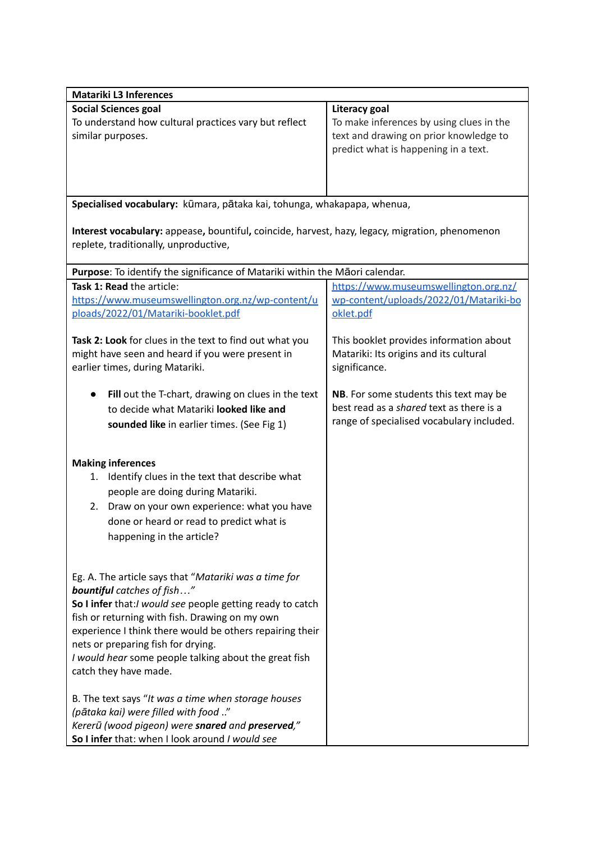| <b>Matariki L3 Inferences</b>                                                                   |                                           |
|-------------------------------------------------------------------------------------------------|-------------------------------------------|
| <b>Social Sciences goal</b>                                                                     | Literacy goal                             |
| To understand how cultural practices vary but reflect                                           | To make inferences by using clues in the  |
| similar purposes.                                                                               | text and drawing on prior knowledge to    |
|                                                                                                 | predict what is happening in a text.      |
|                                                                                                 |                                           |
|                                                                                                 |                                           |
|                                                                                                 |                                           |
| Specialised vocabulary: kūmara, pātaka kai, tohunga, whakapapa, whenua,                         |                                           |
|                                                                                                 |                                           |
| Interest vocabulary: appease, bountiful, coincide, harvest, hazy, legacy, migration, phenomenon |                                           |
| replete, traditionally, unproductive,                                                           |                                           |
|                                                                                                 |                                           |
| Purpose: To identify the significance of Matariki within the Maori calendar.                    |                                           |
| Task 1: Read the article:                                                                       | https://www.museumswellington.org.nz/     |
| https://www.museumswellington.org.nz/wp-content/u                                               | wp-content/uploads/2022/01/Matariki-bo    |
| ploads/2022/01/Matariki-booklet.pdf                                                             | oklet.pdf                                 |
|                                                                                                 |                                           |
| Task 2: Look for clues in the text to find out what you                                         | This booklet provides information about   |
| might have seen and heard if you were present in                                                | Matariki: Its origins and its cultural    |
| earlier times, during Matariki.                                                                 | significance.                             |
|                                                                                                 |                                           |
| Fill out the T-chart, drawing on clues in the text                                              | NB. For some students this text may be    |
| to decide what Matariki looked like and                                                         | best read as a shared text as there is a  |
| sounded like in earlier times. (See Fig 1)                                                      | range of specialised vocabulary included. |
|                                                                                                 |                                           |
|                                                                                                 |                                           |
| <b>Making inferences</b>                                                                        |                                           |
| 1. Identify clues in the text that describe what                                                |                                           |
| people are doing during Matariki.                                                               |                                           |
| Draw on your own experience: what you have<br>2.                                                |                                           |
| done or heard or read to predict what is                                                        |                                           |
|                                                                                                 |                                           |
| happening in the article?                                                                       |                                           |
|                                                                                                 |                                           |
| Eg. A. The article says that "Matariki was a time for                                           |                                           |
| <b>bountiful</b> catches of fish"                                                               |                                           |
| So I infer that: I would see people getting ready to catch                                      |                                           |
| fish or returning with fish. Drawing on my own                                                  |                                           |
| experience I think there would be others repairing their                                        |                                           |
| nets or preparing fish for drying.                                                              |                                           |
| I would hear some people talking about the great fish                                           |                                           |
| catch they have made.                                                                           |                                           |
|                                                                                                 |                                           |
| B. The text says "It was a time when storage houses                                             |                                           |
| (pātaka kai) were filled with food "                                                            |                                           |
| Kererū (wood pigeon) were snared and preserved,"                                                |                                           |
| So I infer that: when I look around I would see                                                 |                                           |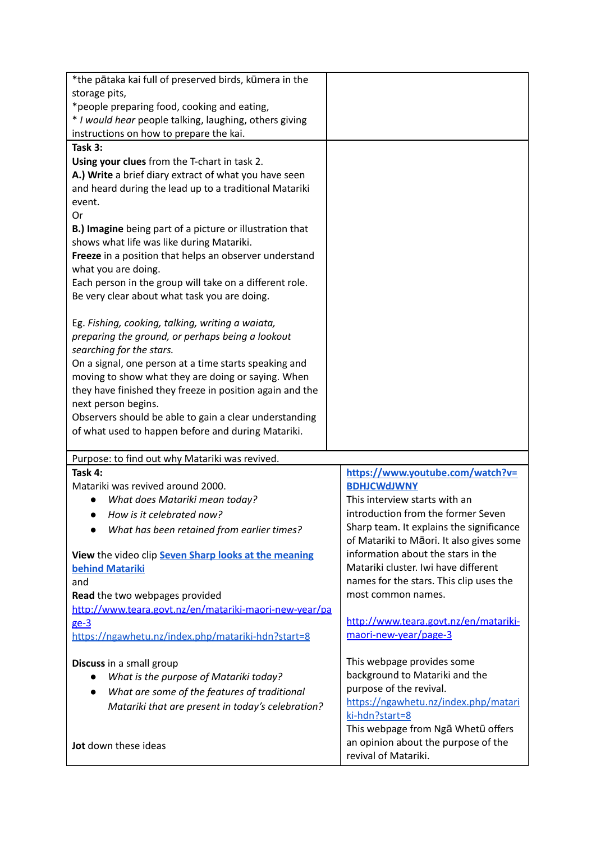| *the pātaka kai full of preserved birds, kūmera in the<br>storage pits,                                                                          |                                                             |
|--------------------------------------------------------------------------------------------------------------------------------------------------|-------------------------------------------------------------|
| *people preparing food, cooking and eating,<br>* I would hear people talking, laughing, others giving<br>instructions on how to prepare the kai. |                                                             |
| Task 3:                                                                                                                                          |                                                             |
| Using your clues from the T-chart in task 2.                                                                                                     |                                                             |
| A.) Write a brief diary extract of what you have seen                                                                                            |                                                             |
| and heard during the lead up to a traditional Matariki                                                                                           |                                                             |
| event.                                                                                                                                           |                                                             |
| Or                                                                                                                                               |                                                             |
| B.) Imagine being part of a picture or illustration that                                                                                         |                                                             |
| shows what life was like during Matariki.                                                                                                        |                                                             |
| Freeze in a position that helps an observer understand                                                                                           |                                                             |
| what you are doing.                                                                                                                              |                                                             |
| Each person in the group will take on a different role.                                                                                          |                                                             |
| Be very clear about what task you are doing.                                                                                                     |                                                             |
|                                                                                                                                                  |                                                             |
| Eg. Fishing, cooking, talking, writing a waiata,                                                                                                 |                                                             |
| preparing the ground, or perhaps being a lookout                                                                                                 |                                                             |
| searching for the stars.                                                                                                                         |                                                             |
| On a signal, one person at a time starts speaking and                                                                                            |                                                             |
| moving to show what they are doing or saying. When                                                                                               |                                                             |
| they have finished they freeze in position again and the<br>next person begins.                                                                  |                                                             |
| Observers should be able to gain a clear understanding                                                                                           |                                                             |
| of what used to happen before and during Matariki.                                                                                               |                                                             |
|                                                                                                                                                  |                                                             |
|                                                                                                                                                  |                                                             |
| Purpose: to find out why Matariki was revived.                                                                                                   |                                                             |
| Task 4:                                                                                                                                          | https://www.youtube.com/watch?v=                            |
| Matariki was revived around 2000.                                                                                                                | <b>BDHJCWdJWNY</b>                                          |
| What does Matariki mean today?                                                                                                                   | This interview starts with an                               |
| How is it celebrated now?                                                                                                                        | introduction from the former Seven                          |
| What has been retained from earlier times?                                                                                                       | Sharp team. It explains the significance                    |
|                                                                                                                                                  | of Matariki to Māori. It also gives some                    |
| View the video clip Seven Sharp looks at the meaning                                                                                             | information about the stars in the                          |
| <b>behind Matariki</b>                                                                                                                           | Matariki cluster. Iwi have different                        |
| and                                                                                                                                              | names for the stars. This clip uses the                     |
| Read the two webpages provided                                                                                                                   | most common names.                                          |
| http://www.teara.govt.nz/en/matariki-maori-new-year/pa                                                                                           |                                                             |
| ge-3                                                                                                                                             | http://www.teara.govt.nz/en/matariki-                       |
| https://ngawhetu.nz/index.php/matariki-hdn?start=8                                                                                               | maori-new-year/page-3                                       |
|                                                                                                                                                  | This webpage provides some                                  |
| Discuss in a small group<br>What is the purpose of Matariki today?                                                                               | background to Matariki and the                              |
| $\bullet$                                                                                                                                        | purpose of the revival.                                     |
| What are some of the features of traditional                                                                                                     | https://ngawhetu.nz/index.php/matari                        |
| Matariki that are present in today's celebration?                                                                                                | ki-hdn?start=8                                              |
|                                                                                                                                                  | This webpage from Nga Whetū offers                          |
| <b>Jot</b> down these ideas                                                                                                                      | an opinion about the purpose of the<br>revival of Matariki. |